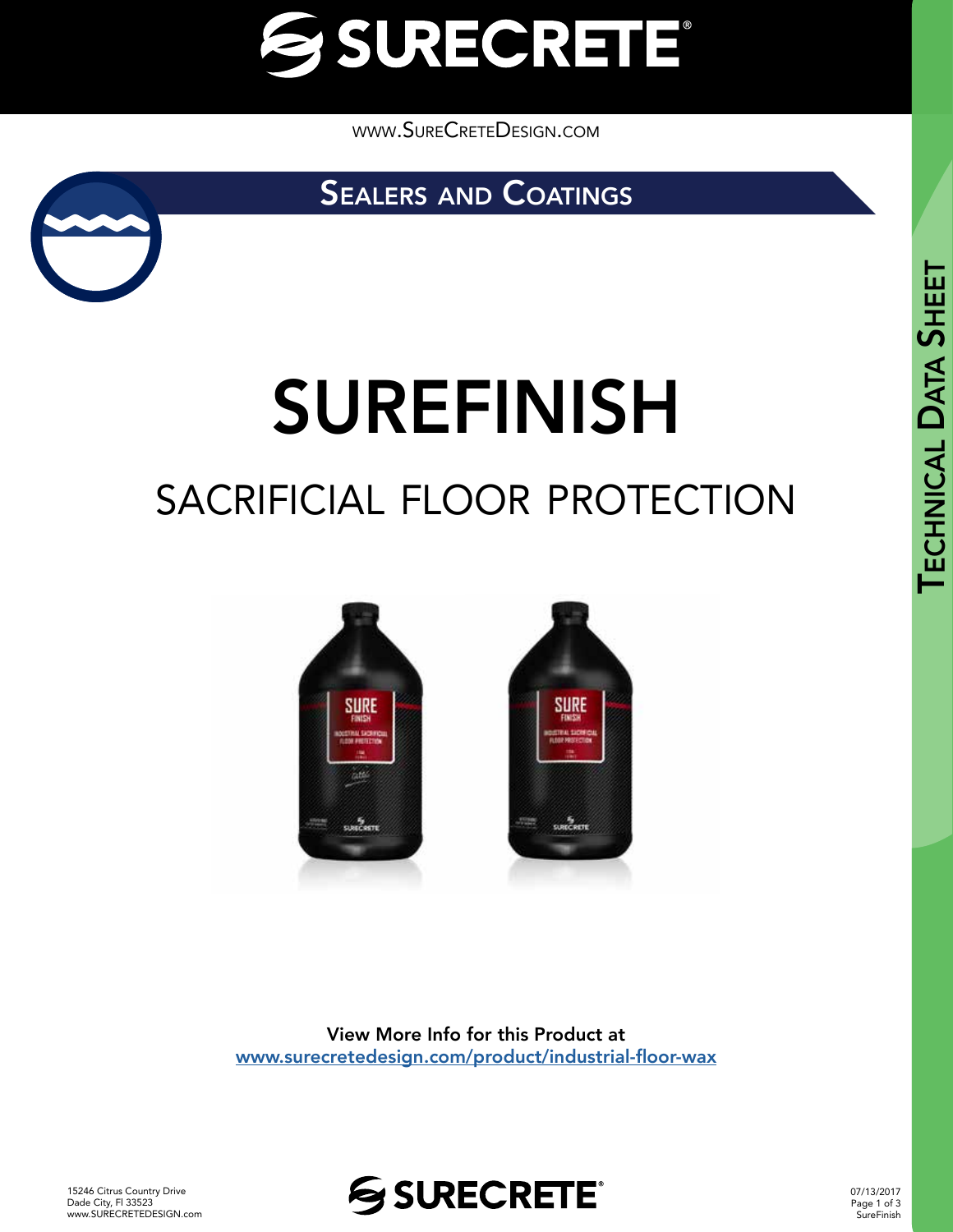

[www.SureCreteDesign.com](http://www.surecretedesign.com)

SEALERS AND COATINGS



# SUREFINISH

## SACRIFICIAL FLOOR PROTECTION



View More Info for this Product at [www.surecretedesign.com/product/industrial-floor-wax](https://www.surecretedesign.com/product/industrial-floor-wax/)

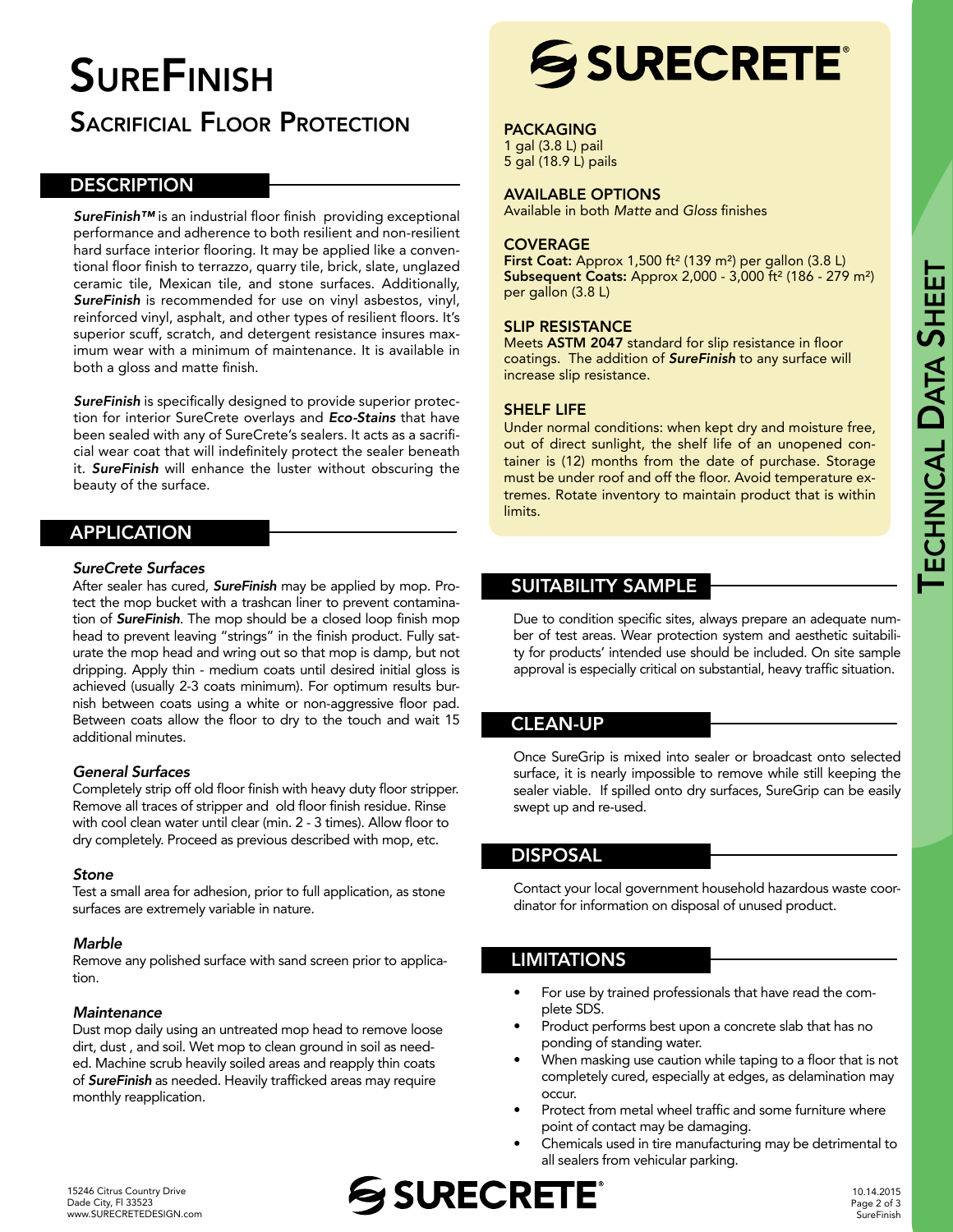## **SUREFINISH**

### **SACRIFICIAL FLOOR PROTECTION**

#### **DESCRIPTION**

*SureFinish™* is an industrial floor finish providing exceptional performance and adherence to both resilient and non-resilient hard surface interior flooring. It may be applied like a conventional floor finish to terrazzo, quarry tile, brick, slate, unglazed ceramic tile, Mexican tile, and stone surfaces. Additionally, *SureFinish* is recommended for use on vinyl asbestos, vinyl, reinforced vinyl, asphalt, and other types of resilient floors. It's superior scuff, scratch, and detergent resistance insures maximum wear with a minimum of maintenance. It is available in both a gloss and matte finish.

*SureFinish* is specifically designed to provide superior protection for interior SureCrete overlays and *Eco-Stains* that have been sealed with any of SureCrete's sealers. It acts as a sacrificial wear coat that will indefinitely protect the sealer beneath it. *SureFinish* will enhance the luster without obscuring the beauty of the surface.

#### APPLICATION

#### *SureCrete Surfaces*

After sealer has cured, *SureFinish* may be applied by mop. Protect the mop bucket with a trashcan liner to prevent contamination of *SureFinish*. The mop should be a closed loop finish mop head to prevent leaving "strings" in the finish product. Fully saturate the mop head and wring out so that mop is damp, but not dripping. Apply thin - medium coats until desired initial gloss is achieved (usually 2-3 coats minimum). For optimum results burnish between coats using a white or non-aggressive floor pad. Between coats allow the floor to dry to the touch and wait 15 additional minutes.

#### *General Surfaces*

Completely strip off old floor finish with heavy duty floor stripper. Remove all traces of stripper and old floor finish residue. Rinse with cool clean water until clear (min. 2 - 3 times). Allow floor to dry completely. Proceed as previous described with mop, etc.

#### *Stone*

Test a small area for adhesion, prior to full application, as stone surfaces are extremely variable in nature.

#### *Marble*

Remove any polished surface with sand screen prior to application.

#### *Maintenance*

Dust mop daily using an untreated mop head to remove loose dirt, dust , and soil. Wet mop to clean ground in soil as needed. Machine scrub heavily soiled areas and reapply thin coats of *SureFinish* as needed. Heavily trafficked areas may require monthly reapplication.

## **SSURECRETE®**

#### PACKAGING

1 gal (3.8 L) pail 5 gal (18.9 L) pails

#### AVAILABLE OPTIONS

Available in both *Matte* and *Gloss* finishes

#### **COVERAGE**

First Coat: Approx 1,500 ft<sup>2</sup> (139 m<sup>2</sup>) per gallon (3.8 L) Subsequent Coats: Approx 2,000 - 3,000 ft² (186 - 279 m²) per gallon (3.8 L)

#### SLIP RESISTANCE

Meets ASTM 2047 standard for slip resistance in floor coatings. The addition of *SureFinish* to any surface will increase slip resistance.

#### SHELF LIFE

Under normal conditions: when kept dry and moisture free, out of direct sunlight, the shelf life of an unopened container is (12) months from the date of purchase. Storage must be under roof and off the floor. Avoid temperature extremes. Rotate inventory to maintain product that is within limits.

#### SUITABILITY SAMPLE

Due to condition specific sites, always prepare an adequate number of test areas. Wear protection system and aesthetic suitability for products' intended use should be included. On site sample approval is especially critical on substantial, heavy traffic situation.

#### CLEAN-UP

Once SureGrip is mixed into sealer or broadcast onto selected surface, it is nearly impossible to remove while still keeping the sealer viable. If spilled onto dry surfaces, SureGrip can be easily swept up and re-used.

#### DISPOSAL

Contact your local government household hazardous waste coordinator for information on disposal of unused product.

#### LIMITATIONS

- For use by trained professionals that have read the complete SDS.
- Product performs best upon a concrete slab that has no ponding of standing water.
- When masking use caution while taping to a floor that is not completely cured, especially at edges, as delamination may occur.
- Protect from metal wheel traffic and some furniture where point of contact may be damaging.
- Chemicals used in tire manufacturing may be detrimental to all sealers from vehicular parking.